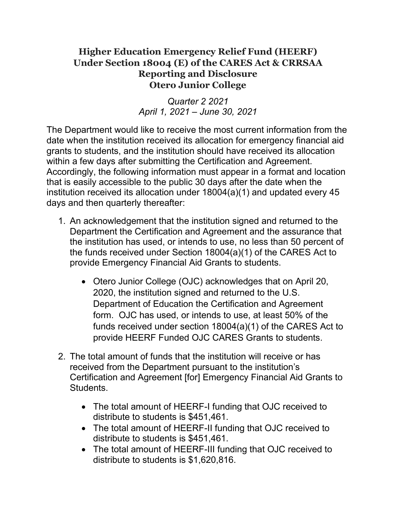## **Higher Education Emergency Relief Fund (HEERF) Under Section 18004 (E) of the CARES Act & CRRSAA Reporting and Disclosure Otero Junior College**

*Quarter 2 2021 April 1, 2021 – June 30, 2021*

The Department would like to receive the most current information from the date when the institution received its allocation for emergency financial aid grants to students, and the institution should have received its allocation within a few days after submitting the Certification and Agreement. Accordingly, the following information must appear in a format and location that is easily accessible to the public 30 days after the date when the institution received its allocation under 18004(a)(1) and updated every 45 days and then quarterly thereafter:

- 1. An acknowledgement that the institution signed and returned to the Department the Certification and Agreement and the assurance that the institution has used, or intends to use, no less than 50 percent of the funds received under Section 18004(a)(1) of the CARES Act to provide Emergency Financial Aid Grants to students.
	- Otero Junior College (OJC) acknowledges that on April 20, 2020, the institution signed and returned to the U.S. Department of Education the Certification and Agreement form. OJC has used, or intends to use, at least 50% of the funds received under section 18004(a)(1) of the CARES Act to provide HEERF Funded OJC CARES Grants to students.
- 2. The total amount of funds that the institution will receive or has received from the Department pursuant to the institution's Certification and Agreement [for] Emergency Financial Aid Grants to Students.
	- The total amount of HEERF-I funding that OJC received to distribute to students is \$451,461.
	- The total amount of HEERF-II funding that OJC received to distribute to students is \$451,461.
	- The total amount of HEERF-III funding that OJC received to distribute to students is \$1,620,816.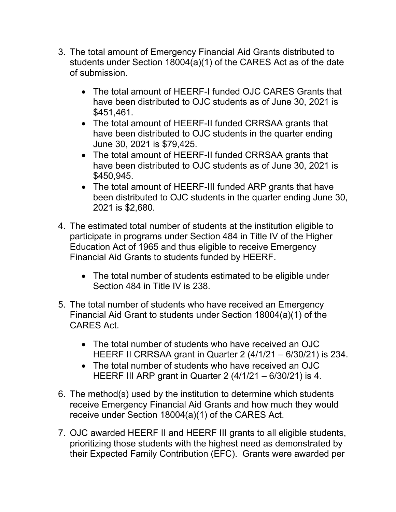- 3. The total amount of Emergency Financial Aid Grants distributed to students under Section 18004(a)(1) of the CARES Act as of the date of submission.
	- The total amount of HEERF-I funded OJC CARES Grants that have been distributed to OJC students as of June 30, 2021 is \$451,461.
	- The total amount of HEERF-II funded CRRSAA grants that have been distributed to OJC students in the quarter ending June 30, 2021 is \$79,425.
	- The total amount of HEERF-II funded CRRSAA grants that have been distributed to OJC students as of June 30, 2021 is \$450,945.
	- The total amount of HEERF-III funded ARP grants that have been distributed to OJC students in the quarter ending June 30, 2021 is \$2,680.
- 4. The estimated total number of students at the institution eligible to participate in programs under Section 484 in Title IV of the Higher Education Act of 1965 and thus eligible to receive Emergency Financial Aid Grants to students funded by HEERF.
	- The total number of students estimated to be eligible under Section 484 in Title IV is 238.
- 5. The total number of students who have received an Emergency Financial Aid Grant to students under Section 18004(a)(1) of the CARES Act.
	- The total number of students who have received an OJC HEERF II CRRSAA grant in Quarter 2 (4/1/21 – 6/30/21) is 234.
	- The total number of students who have received an OJC HEERF III ARP grant in Quarter 2 (4/1/21 – 6/30/21) is 4.
- 6. The method(s) used by the institution to determine which students receive Emergency Financial Aid Grants and how much they would receive under Section 18004(a)(1) of the CARES Act.
- 7. OJC awarded HEERF II and HEERF III grants to all eligible students, prioritizing those students with the highest need as demonstrated by their Expected Family Contribution (EFC). Grants were awarded per